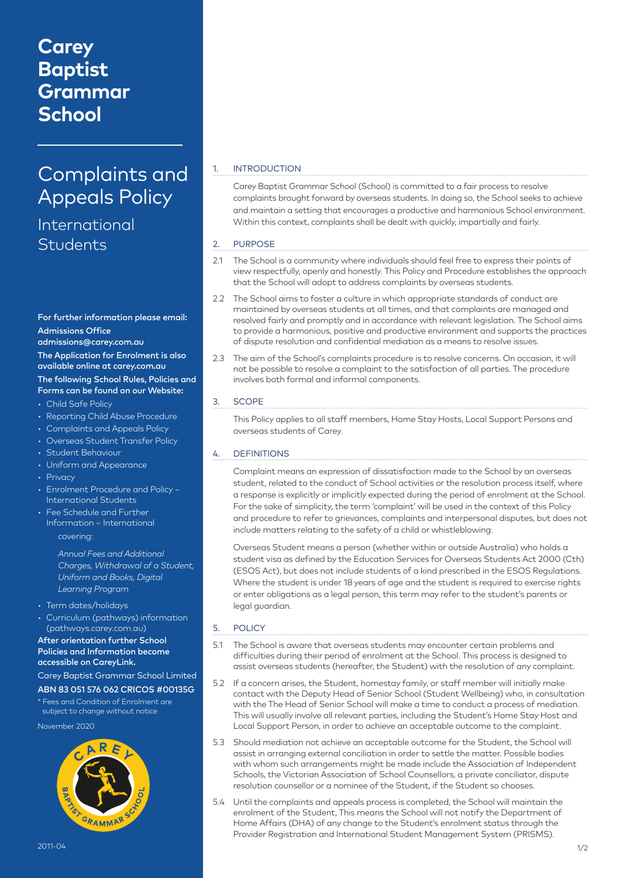# **Carey Baptist Grammar School**

# Complaints and Appeals Policy

## International **Students**

## For further information please email: Admissions Office

## admissions@carey.com.au

The Application for Enrolment is also available online at carey.com.au

### The following School Rules, Policies and Forms can be found on our Website:

- Child Safe Policy
- Reporting Child Abuse Procedure
- Complaints and Appeals Policy
- Overseas Student Transfer Policy
- Student Behaviour
- Uniform and Appearance
- Privacy
- Enrolment Procedure and Policy International Students
- Fee Schedule and Further Information – International covering:

*Annual Fees and Additional Charges, Withdrawal of a Student, Uniform and Books, Digital Learning Program*

- Term dates/holidays
- Curriculum (pathways) information (pathways.carey.com.au)

#### After orientation further School Policies and Information become accessible on CareyLink.

## Carey Baptist Grammar School Limited ABN 83 051 576 062 CRICOS #00135G

\* Fees and Condition of Enrolment are subject to change without notice

November 2020



## **INTRODUCTION**

Carey Baptist Grammar School (School) is committed to a fair process to resolve complaints brought forward by overseas students. In doing so, the School seeks to achieve and maintain a setting that encourages a productive and harmonious School environment. Within this context, complaints shall be dealt with quickly, impartially and fairly.

## 2. PURPOSE

- 2.1 The School is a community where individuals should feel free to express their points of view respectfully, openly and honestly. This Policy and Procedure establishes the approach that the School will adopt to address complaints by overseas students.
- 2.2 The School aims to foster a culture in which appropriate standards of conduct are maintained by overseas students at all times, and that complaints are managed and resolved fairly and promptly and in accordance with relevant legislation. The School aims to provide a harmonious, positive and productive environment and supports the practices of dispute resolution and confidential mediation as a means to resolve issues.
- 2.3 The aim of the School's complaints procedure is to resolve concerns. On occasion, it will not be possible to resolve a complaint to the satisfaction of all parties. The procedure involves both formal and informal components.

## 3. SCOPE

This Policy applies to all staff members, Home Stay Hosts, Local Support Persons and overseas students of Carey.

## 4. DEFINITIONS

Complaint means an expression of dissatisfaction made to the School by an overseas student, related to the conduct of School activities or the resolution process itself, where a response is explicitly or implicitly expected during the period of enrolment at the School. For the sake of simplicity, the term 'complaint' will be used in the context of this Policy and procedure to refer to grievances, complaints and interpersonal disputes, but does not include matters relating to the safety of a child or whistleblowing.

Overseas Student means a person (whether within or outside Australia) who holds a student visa as defined by the Education Services for Overseas Students Act 2000 (Cth) (ESOS Act), but does not include students of a kind prescribed in the ESOS Regulations. Where the student is under 18 years of age and the student is required to exercise rights or enter obligations as a legal person, this term may refer to the student's parents or legal guardian.

#### 5. POLICY

- 5.1 The School is aware that overseas students may encounter certain problems and difficulties during their period of enrolment at the School. This process is designed to assist overseas students (hereafter, the Student) with the resolution of any complaint.
- 5.2 If a concern arises, the Student, homestay family, or staff member will initially make contact with the Deputy Head of Senior School (Student Wellbeing) who, in consultation with the The Head of Senior School will make a time to conduct a process of mediation. This will usually involve all relevant parties, including the Student's Home Stay Host and Local Support Person, in order to achieve an acceptable outcome to the complaint.
- 5.3 Should mediation not achieve an acceptable outcome for the Student, the School will assist in arranging external conciliation in order to settle the matter. Possible bodies with whom such arrangements might be made include the Association of Independent Schools, the Victorian Association of School Counsellors, a private conciliator, dispute resolution counsellor or a nominee of the Student, if the Student so chooses.
- 5.4 Until the complaints and appeals process is completed, the School will maintain the enrolment of the Student, This means the School will not notify the Department of Home Affairs (DHA) of any change to the Student's enrolment status through the Provider Registration and International Student Management System (PRISMS).